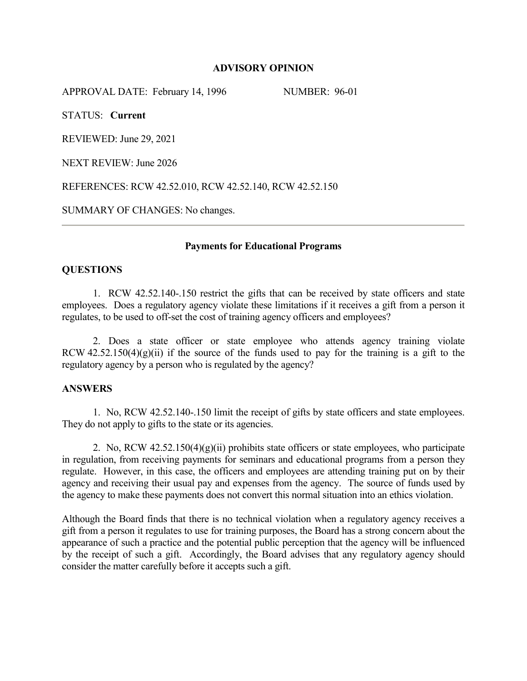## **ADVISORY OPINION**

APPROVAL DATE: February 14, 1996 NUMBER: 96-01

STATUS: **Current**

REVIEWED: June 29, 2021

NEXT REVIEW: June 2026

REFERENCES: RCW 42.52.010, RCW 42.52.140, RCW 42.52.150

SUMMARY OF CHANGES: No changes.

## **Payments for Educational Programs**

## **QUESTIONS**

1. RCW 42.52.140-.150 restrict the gifts that can be received by state officers and state employees. Does a regulatory agency violate these limitations if it receives a gift from a person it regulates, to be used to off-set the cost of training agency officers and employees?

2. Does a state officer or state employee who attends agency training violate RCW  $42.52.150(4)(g)(ii)$  if the source of the funds used to pay for the training is a gift to the regulatory agency by a person who is regulated by the agency?

#### **ANSWERS**

1. No, RCW 42.52.140-.150 limit the receipt of gifts by state officers and state employees. They do not apply to gifts to the state or its agencies.

2. No, RCW  $42.52.150(4)(g)(ii)$  prohibits state officers or state employees, who participate in regulation, from receiving payments for seminars and educational programs from a person they regulate. However, in this case, the officers and employees are attending training put on by their agency and receiving their usual pay and expenses from the agency. The source of funds used by the agency to make these payments does not convert this normal situation into an ethics violation.

Although the Board finds that there is no technical violation when a regulatory agency receives a gift from a person it regulates to use for training purposes, the Board has a strong concern about the appearance of such a practice and the potential public perception that the agency will be influenced by the receipt of such a gift. Accordingly, the Board advises that any regulatory agency should consider the matter carefully before it accepts such a gift.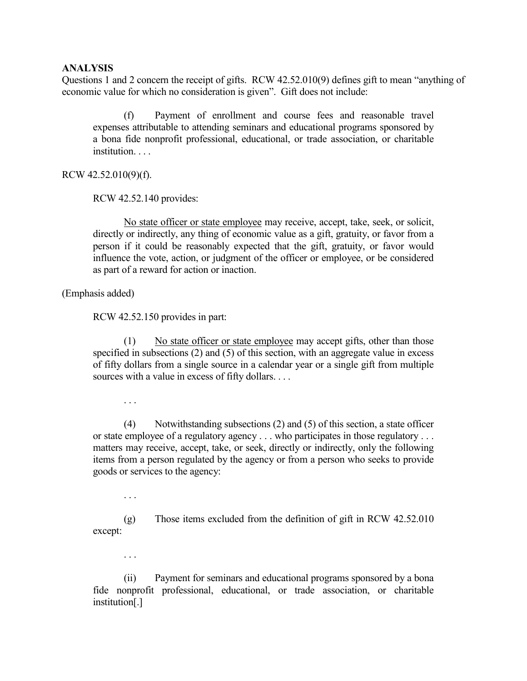#### **ANALYSIS**

Questions 1 and 2 concern the receipt of gifts. RCW 42.52.010(9) defines gift to mean "anything of economic value for which no consideration is given". Gift does not include:

 (f) Payment of enrollment and course fees and reasonable travel expenses attributable to attending seminars and educational programs sponsored by a bona fide nonprofit professional, educational, or trade association, or charitable institution. . . .

RCW 42.52.010(9)(f).

RCW 42.52.140 provides:

 No state officer or state employee may receive, accept, take, seek, or solicit, directly or indirectly, any thing of economic value as a gift, gratuity, or favor from a person if it could be reasonably expected that the gift, gratuity, or favor would influence the vote, action, or judgment of the officer or employee, or be considered as part of a reward for action or inaction.

(Emphasis added)

RCW 42.52.150 provides in part:

 (1) No state officer or state employee may accept gifts, other than those specified in subsections (2) and (5) of this section, with an aggregate value in excess of fifty dollars from a single source in a calendar year or a single gift from multiple sources with a value in excess of fifty dollars. . . .

. . .

 (4) Notwithstanding subsections (2) and (5) of this section, a state officer or state employee of a regulatory agency . . . who participates in those regulatory . . . matters may receive, accept, take, or seek, directly or indirectly, only the following items from a person regulated by the agency or from a person who seeks to provide goods or services to the agency:

. . .

 (g) Those items excluded from the definition of gift in RCW 42.52.010 except:

. . .

 (ii) Payment for seminars and educational programs sponsored by a bona fide nonprofit professional, educational, or trade association, or charitable institution[.]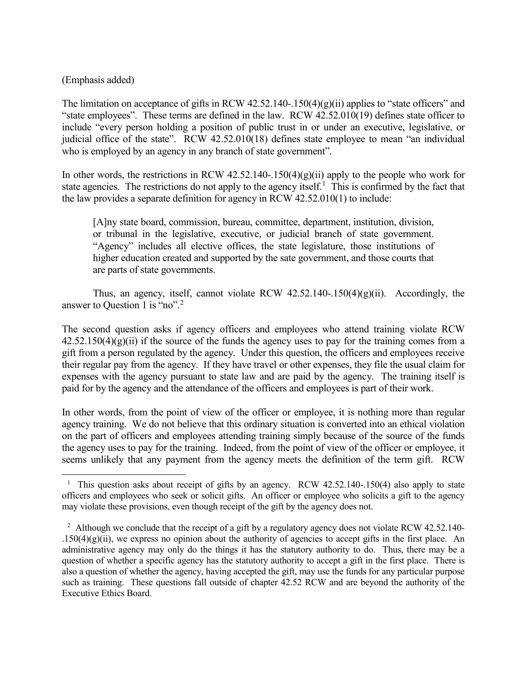# (Emphasis added)

The limitation on acceptance of gifts in RCW 42.52.140-.150(4)(g)(ii) applies to "state officers" and "state employees". These terms are defined in the law. RCW 42.52.010(19) defines state officer to include "every person holding a position of public trust in or under an executive, legislative, or judicial office of the state". RCW 42.52.010(18) defines state employee to mean "an individual who is employed by an agency in any branch of state government".

In other words, the restrictions in RCW 42.52.140-.150(4)(g)(ii) apply to the people who work for state agencies. The restrictions do not apply to the agency itself.<sup>[1](#page-2-0)</sup> This is confirmed by the fact that the law provides a separate definition for agency in RCW 42.52.010(1) to include:

[A]ny state board, commission, bureau, committee, department, institution, division, or tribunal in the legislative, executive, or judicial branch of state government. "Agency" includes all elective offices, the state legislature, those institutions of higher education created and supported by the sate government, and those courts that are parts of state governments.

Thus, an agency, itself, cannot violate RCW 42.52.140-.150(4)(g)(ii). Accordingly, the answer to Ouestion 1 is "no".<sup>[2](#page-2-1)</sup>

The second question asks if agency officers and employees who attend training violate RCW  $42.52.150(4)(g)(ii)$  if the source of the funds the agency uses to pay for the training comes from a gift from a person regulated by the agency. Under this question, the officers and employees receive their regular pay from the agency. If they have travel or other expenses, they file the usual claim for expenses with the agency pursuant to state law and are paid by the agency. The training itself is paid for by the agency and the attendance of the officers and employees is part of their work.

In other words, from the point of view of the officer or employee, it is nothing more than regular agency training. We do not believe that this ordinary situation is converted into an ethical violation on the part of officers and employees attending training simply because of the source of the funds the agency uses to pay for the training. Indeed, from the point of view of the officer or employee, it seems unlikely that any payment from the agency meets the definition of the term gift. RCW

<span id="page-2-0"></span><sup>&</sup>lt;sup>1</sup> This question asks about receipt of gifts by an agency. RCW 42.52.140-.150(4) also apply to state officers and employees who seek or solicit gifts. An officer or employee who solicits a gift to the agency may violate these provisions, even though receipt of the gift by the agency does not.

<span id="page-2-1"></span><sup>&</sup>lt;sup>2</sup> Although we conclude that the receipt of a gift by a regulatory agency does not violate RCW 42.52.140-.150(4)(g)(ii), we express no opinion about the authority of agencies to accept gifts in the first place. An administrative agency may only do the things it has the statutory authority to do. Thus, there may be a question of whether a specific agency has the statutory authority to accept a gift in the first place. There is also a question of whether the agency, having accepted the gift, may use the funds for any particular purpose such as training. These questions fall outside of chapter 42.52 RCW and are beyond the authority of the Executive Ethics Board.